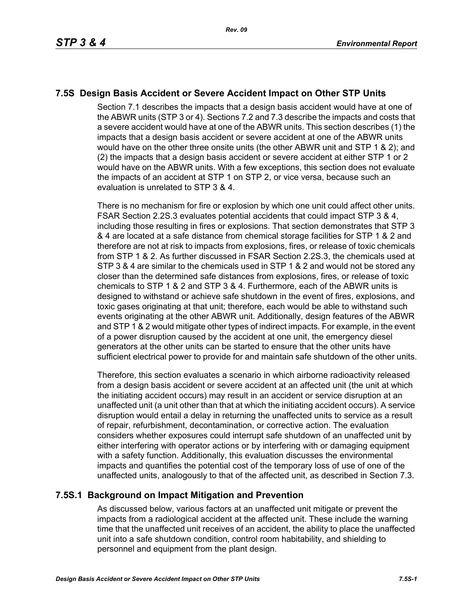# **7.5S Design Basis Accident or Severe Accident Impact on Other STP Units**

Section 7.1 describes the impacts that a design basis accident would have at one of the ABWR units (STP 3 or 4). Sections 7.2 and 7.3 describe the impacts and costs that a severe accident would have at one of the ABWR units. This section describes (1) the impacts that a design basis accident or severe accident at one of the ABWR units would have on the other three onsite units (the other ABWR unit and STP 1 & 2); and (2) the impacts that a design basis accident or severe accident at either STP 1 or 2 would have on the ABWR units. With a few exceptions, this section does not evaluate the impacts of an accident at STP 1 on STP 2, or vice versa, because such an evaluation is unrelated to STP 3 & 4.

There is no mechanism for fire or explosion by which one unit could affect other units. FSAR Section 2.2S.3 evaluates potential accidents that could impact STP 3 & 4, including those resulting in fires or explosions. That section demonstrates that STP 3 & 4 are located at a safe distance from chemical storage facilities for STP 1 & 2 and therefore are not at risk to impacts from explosions, fires, or release of toxic chemicals from STP 1 & 2. As further discussed in FSAR Section 2.2S.3, the chemicals used at STP 3 & 4 are similar to the chemicals used in STP 1 & 2 and would not be stored any closer than the determined safe distances from explosions, fires, or release of toxic chemicals to STP 1 & 2 and STP 3 & 4. Furthermore, each of the ABWR units is designed to withstand or achieve safe shutdown in the event of fires, explosions, and toxic gases originating at that unit; therefore, each would be able to withstand such events originating at the other ABWR unit. Additionally, design features of the ABWR and STP 1 & 2 would mitigate other types of indirect impacts. For example, in the event of a power disruption caused by the accident at one unit, the emergency diesel generators at the other units can be started to ensure that the other units have sufficient electrical power to provide for and maintain safe shutdown of the other units.

Therefore, this section evaluates a scenario in which airborne radioactivity released from a design basis accident or severe accident at an affected unit (the unit at which the initiating accident occurs) may result in an accident or service disruption at an unaffected unit (a unit other than that at which the initiating accident occurs). A service disruption would entail a delay in returning the unaffected units to service as a result of repair, refurbishment, decontamination, or corrective action. The evaluation considers whether exposures could interrupt safe shutdown of an unaffected unit by either interfering with operator actions or by interfering with or damaging equipment with a safety function. Additionally, this evaluation discusses the environmental impacts and quantifies the potential cost of the temporary loss of use of one of the unaffected units, analogously to that of the affected unit, as described in Section 7.3.

## **7.5S.1 Background on Impact Mitigation and Prevention**

As discussed below, various factors at an unaffected unit mitigate or prevent the impacts from a radiological accident at the affected unit. These include the warning time that the unaffected unit receives of an accident, the ability to place the unaffected unit into a safe shutdown condition, control room habitability, and shielding to personnel and equipment from the plant design.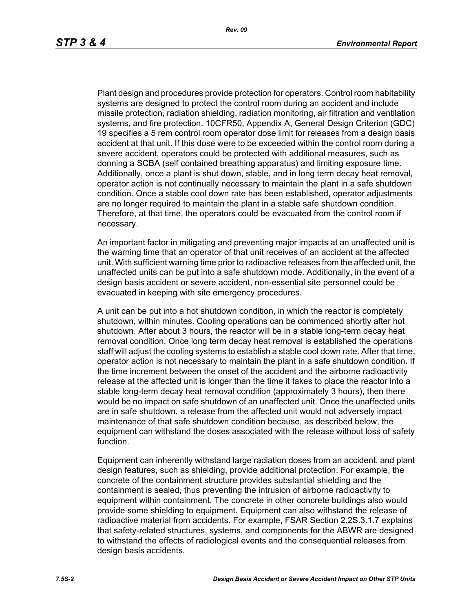Plant design and procedures provide protection for operators. Control room habitability systems are designed to protect the control room during an accident and include missile protection, radiation shielding, radiation monitoring, air filtration and ventilation systems, and fire protection. 10CFR50, Appendix A, General Design Criterion (GDC) 19 specifies a 5 rem control room operator dose limit for releases from a design basis accident at that unit. If this dose were to be exceeded within the control room during a severe accident, operators could be protected with additional measures, such as donning a SCBA (self contained breathing apparatus) and limiting exposure time. Additionally, once a plant is shut down, stable, and in long term decay heat removal, operator action is not continually necessary to maintain the plant in a safe shutdown condition. Once a stable cool down rate has been established, operator adjustments are no longer required to maintain the plant in a stable safe shutdown condition. Therefore, at that time, the operators could be evacuated from the control room if necessary.

An important factor in mitigating and preventing major impacts at an unaffected unit is the warning time that an operator of that unit receives of an accident at the affected unit. With sufficient warning time prior to radioactive releases from the affected unit, the unaffected units can be put into a safe shutdown mode. Additionally, in the event of a design basis accident or severe accident, non-essential site personnel could be evacuated in keeping with site emergency procedures.

A unit can be put into a hot shutdown condition, in which the reactor is completely shutdown, within minutes. Cooling operations can be commenced shortly after hot shutdown. After about 3 hours, the reactor will be in a stable long-term decay heat removal condition. Once long term decay heat removal is established the operations staff will adjust the cooling systems to establish a stable cool down rate. After that time, operator action is not necessary to maintain the plant in a safe shutdown condition. If the time increment between the onset of the accident and the airborne radioactivity release at the affected unit is longer than the time it takes to place the reactor into a stable long-term decay heat removal condition (approximately 3 hours), then there would be no impact on safe shutdown of an unaffected unit. Once the unaffected units are in safe shutdown, a release from the affected unit would not adversely impact maintenance of that safe shutdown condition because, as described below, the equipment can withstand the doses associated with the release without loss of safety function.

Equipment can inherently withstand large radiation doses from an accident, and plant design features, such as shielding, provide additional protection. For example, the concrete of the containment structure provides substantial shielding and the containment is sealed, thus preventing the intrusion of airborne radioactivity to equipment within containment. The concrete in other concrete buildings also would provide some shielding to equipment. Equipment can also withstand the release of radioactive material from accidents. For example, FSAR Section 2.2S.3.1.7 explains that safety-related structures, systems, and components for the ABWR are designed to withstand the effects of radiological events and the consequential releases from design basis accidents.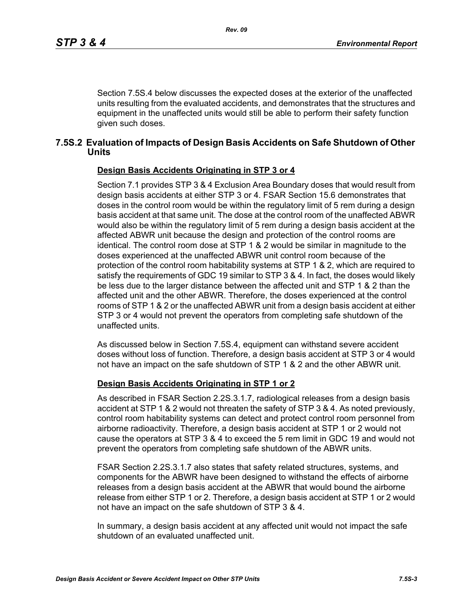Section 7.5S.4 below discusses the expected doses at the exterior of the unaffected units resulting from the evaluated accidents, and demonstrates that the structures and equipment in the unaffected units would still be able to perform their safety function given such doses.

### **7.5S.2 Evaluation of Impacts of Design Basis Accidents on Safe Shutdown of Other Units**

#### **Design Basis Accidents Originating in STP 3 or 4**

Section 7.1 provides STP 3 & 4 Exclusion Area Boundary doses that would result from design basis accidents at either STP 3 or 4. FSAR Section 15.6 demonstrates that doses in the control room would be within the regulatory limit of 5 rem during a design basis accident at that same unit. The dose at the control room of the unaffected ABWR would also be within the regulatory limit of 5 rem during a design basis accident at the affected ABWR unit because the design and protection of the control rooms are identical. The control room dose at STP 1 & 2 would be similar in magnitude to the doses experienced at the unaffected ABWR unit control room because of the protection of the control room habitability systems at STP 1 & 2, which are required to satisfy the requirements of GDC 19 similar to STP 3 & 4. In fact, the doses would likely be less due to the larger distance between the affected unit and STP 1 & 2 than the affected unit and the other ABWR. Therefore, the doses experienced at the control rooms of STP 1 & 2 or the unaffected ABWR unit from a design basis accident at either STP 3 or 4 would not prevent the operators from completing safe shutdown of the unaffected units.

As discussed below in Section 7.5S.4, equipment can withstand severe accident doses without loss of function. Therefore, a design basis accident at STP 3 or 4 would not have an impact on the safe shutdown of STP 1 & 2 and the other ABWR unit.

#### **Design Basis Accidents Originating in STP 1 or 2**

As described in FSAR Section 2.2S.3.1.7, radiological releases from a design basis accident at STP 1 & 2 would not threaten the safety of STP 3 & 4. As noted previously, control room habitability systems can detect and protect control room personnel from airborne radioactivity. Therefore, a design basis accident at STP 1 or 2 would not cause the operators at STP 3 & 4 to exceed the 5 rem limit in GDC 19 and would not prevent the operators from completing safe shutdown of the ABWR units.

FSAR Section 2.2S.3.1.7 also states that safety related structures, systems, and components for the ABWR have been designed to withstand the effects of airborne releases from a design basis accident at the ABWR that would bound the airborne release from either STP 1 or 2. Therefore, a design basis accident at STP 1 or 2 would not have an impact on the safe shutdown of STP 3 & 4.

In summary, a design basis accident at any affected unit would not impact the safe shutdown of an evaluated unaffected unit.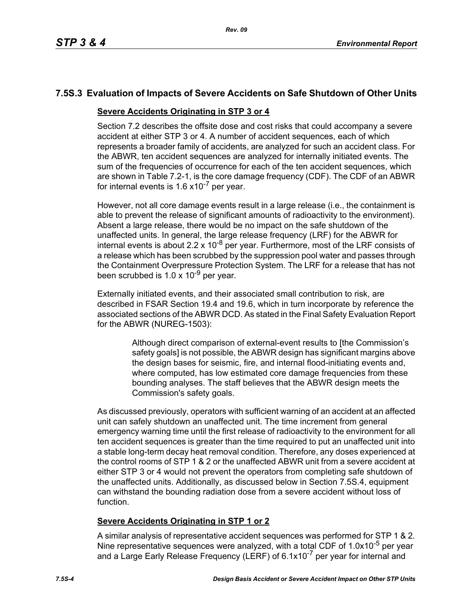# **7.5S.3 Evaluation of Impacts of Severe Accidents on Safe Shutdown of Other Units**

#### **Severe Accidents Originating in STP 3 or 4**

Section 7.2 describes the offsite dose and cost risks that could accompany a severe accident at either STP 3 or 4. A number of accident sequences, each of which represents a broader family of accidents, are analyzed for such an accident class. For the ABWR, ten accident sequences are analyzed for internally initiated events. The sum of the frequencies of occurrence for each of the ten accident sequences, which are shown in Table 7.2-1, is the core damage frequency (CDF). The CDF of an ABWR for internal events is  $1.6 \times 10^{-7}$  per year.

However, not all core damage events result in a large release (i.e., the containment is able to prevent the release of significant amounts of radioactivity to the environment). Absent a large release, there would be no impact on the safe shutdown of the unaffected units. In general, the large release frequency (LRF) for the ABWR for internal events is about 2.2 x 10<sup>-8</sup> per year. Furthermore, most of the LRF consists of a release which has been scrubbed by the suppression pool water and passes through the Containment Overpressure Protection System. The LRF for a release that has not been scrubbed is  $1.0 \times 10^{-9}$  per year.

Externally initiated events, and their associated small contribution to risk, are described in FSAR Section 19.4 and 19.6, which in turn incorporate by reference the associated sections of the ABWR DCD. As stated in the Final Safety Evaluation Report for the ABWR (NUREG-1503):

> Although direct comparison of external-event results to [the Commission's safety goals] is not possible, the ABWR design has significant margins above the design bases for seismic, fire, and internal flood-initiating events and, where computed, has low estimated core damage frequencies from these bounding analyses. The staff believes that the ABWR design meets the Commission's safety goals.

As discussed previously, operators with sufficient warning of an accident at an affected unit can safely shutdown an unaffected unit. The time increment from general emergency warning time until the first release of radioactivity to the environment for all ten accident sequences is greater than the time required to put an unaffected unit into a stable long-term decay heat removal condition. Therefore, any doses experienced at the control rooms of STP 1 & 2 or the unaffected ABWR unit from a severe accident at either STP 3 or 4 would not prevent the operators from completing safe shutdown of the unaffected units. Additionally, as discussed below in Section 7.5S.4, equipment can withstand the bounding radiation dose from a severe accident without loss of function.

## **Severe Accidents Originating in STP 1 or 2**

A similar analysis of representative accident sequences was performed for STP 1 & 2. Nine representative sequences were analyzed, with a total CDF of 1.0x10<sup>-5</sup> per year and a Large Early Release Frequency (LERF) of 6.1x10<sup>-7</sup> per year for internal and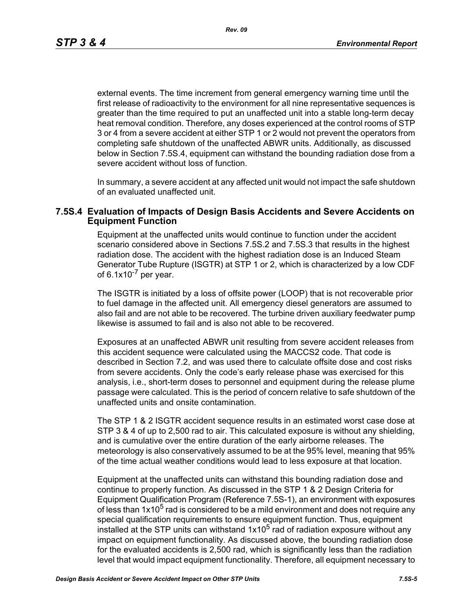*Rev. 09*

external events. The time increment from general emergency warning time until the first release of radioactivity to the environment for all nine representative sequences is greater than the time required to put an unaffected unit into a stable long-term decay heat removal condition. Therefore, any doses experienced at the control rooms of STP 3 or 4 from a severe accident at either STP 1 or 2 would not prevent the operators from completing safe shutdown of the unaffected ABWR units. Additionally, as discussed below in Section 7.5S.4, equipment can withstand the bounding radiation dose from a severe accident without loss of function.

In summary, a severe accident at any affected unit would not impact the safe shutdown of an evaluated unaffected unit.

#### **7.5S.4 Evaluation of Impacts of Design Basis Accidents and Severe Accidents on Equipment Function**

Equipment at the unaffected units would continue to function under the accident scenario considered above in Sections 7.5S.2 and 7.5S.3 that results in the highest radiation dose. The accident with the highest radiation dose is an Induced Steam Generator Tube Rupture (ISGTR) at STP 1 or 2, which is characterized by a low CDF of  $6.1x10^{-7}$  per year.

The ISGTR is initiated by a loss of offsite power (LOOP) that is not recoverable prior to fuel damage in the affected unit. All emergency diesel generators are assumed to also fail and are not able to be recovered. The turbine driven auxiliary feedwater pump likewise is assumed to fail and is also not able to be recovered.

Exposures at an unaffected ABWR unit resulting from severe accident releases from this accident sequence were calculated using the MACCS2 code. That code is described in Section 7.2, and was used there to calculate offsite dose and cost risks from severe accidents. Only the code's early release phase was exercised for this analysis, i.e., short-term doses to personnel and equipment during the release plume passage were calculated. This is the period of concern relative to safe shutdown of the unaffected units and onsite contamination.

The STP 1 & 2 ISGTR accident sequence results in an estimated worst case dose at STP 3 & 4 of up to 2,500 rad to air. This calculated exposure is without any shielding, and is cumulative over the entire duration of the early airborne releases. The meteorology is also conservatively assumed to be at the 95% level, meaning that 95% of the time actual weather conditions would lead to less exposure at that location.

Equipment at the unaffected units can withstand this bounding radiation dose and continue to properly function. As discussed in the STP 1 & 2 Design Criteria for Equipment Qualification Program (Reference 7.5S-1), an environment with exposures of less than  $1x10<sup>5</sup>$  rad is considered to be a mild environment and does not require any special qualification requirements to ensure equipment function. Thus, equipment installed at the STP units can withstand  $1x10^5$  rad of radiation exposure without any impact on equipment functionality. As discussed above, the bounding radiation dose for the evaluated accidents is 2,500 rad, which is significantly less than the radiation level that would impact equipment functionality. Therefore, all equipment necessary to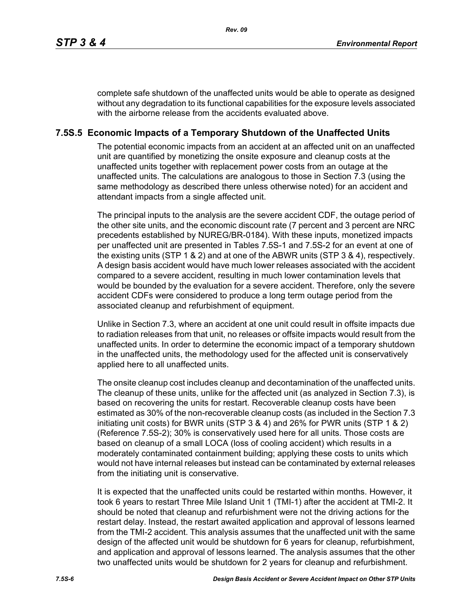complete safe shutdown of the unaffected units would be able to operate as designed without any degradation to its functional capabilities for the exposure levels associated with the airborne release from the accidents evaluated above.

## **7.5S.5 Economic Impacts of a Temporary Shutdown of the Unaffected Units**

The potential economic impacts from an accident at an affected unit on an unaffected unit are quantified by monetizing the onsite exposure and cleanup costs at the unaffected units together with replacement power costs from an outage at the unaffected units. The calculations are analogous to those in Section 7.3 (using the same methodology as described there unless otherwise noted) for an accident and attendant impacts from a single affected unit.

The principal inputs to the analysis are the severe accident CDF, the outage period of the other site units, and the economic discount rate (7 percent and 3 percent are NRC precedents established by NUREG/BR-0184). With these inputs, monetized impacts per unaffected unit are presented in Tables 7.5S-1 and 7.5S-2 for an event at one of the existing units (STP 1 & 2) and at one of the ABWR units (STP 3 & 4), respectively. A design basis accident would have much lower releases associated with the accident compared to a severe accident, resulting in much lower contamination levels that would be bounded by the evaluation for a severe accident. Therefore, only the severe accident CDFs were considered to produce a long term outage period from the associated cleanup and refurbishment of equipment.

Unlike in Section 7.3, where an accident at one unit could result in offsite impacts due to radiation releases from that unit, no releases or offsite impacts would result from the unaffected units. In order to determine the economic impact of a temporary shutdown in the unaffected units, the methodology used for the affected unit is conservatively applied here to all unaffected units.

The onsite cleanup cost includes cleanup and decontamination of the unaffected units. The cleanup of these units, unlike for the affected unit (as analyzed in Section 7.3), is based on recovering the units for restart. Recoverable cleanup costs have been estimated as 30% of the non-recoverable cleanup costs (as included in the Section 7.3 initiating unit costs) for BWR units (STP 3 & 4) and 26% for PWR units (STP 1 & 2) (Reference 7.5S-2); 30% is conservatively used here for all units. Those costs are based on cleanup of a small LOCA (loss of cooling accident) which results in a moderately contaminated containment building; applying these costs to units which would not have internal releases but instead can be contaminated by external releases from the initiating unit is conservative.

It is expected that the unaffected units could be restarted within months. However, it took 6 years to restart Three Mile Island Unit 1 (TMI-1) after the accident at TMI-2. It should be noted that cleanup and refurbishment were not the driving actions for the restart delay. Instead, the restart awaited application and approval of lessons learned from the TMI-2 accident. This analysis assumes that the unaffected unit with the same design of the affected unit would be shutdown for 6 years for cleanup, refurbishment, and application and approval of lessons learned. The analysis assumes that the other two unaffected units would be shutdown for 2 years for cleanup and refurbishment.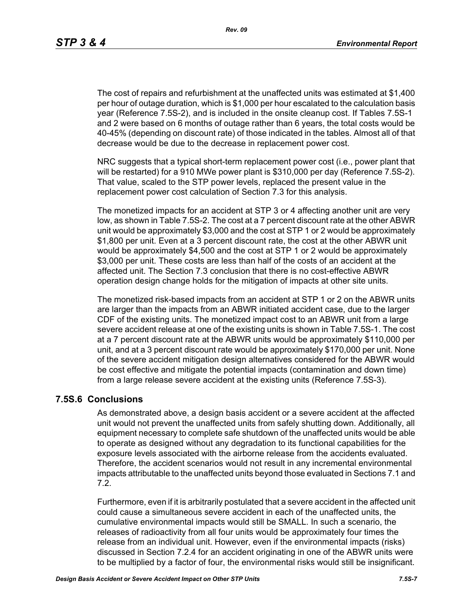The cost of repairs and refurbishment at the unaffected units was estimated at \$1,400 per hour of outage duration, which is \$1,000 per hour escalated to the calculation basis year (Reference 7.5S-2), and is included in the onsite cleanup cost. If Tables 7.5S-1 and 2 were based on 6 months of outage rather than 6 years, the total costs would be 40-45% (depending on discount rate) of those indicated in the tables. Almost all of that decrease would be due to the decrease in replacement power cost.

NRC suggests that a typical short-term replacement power cost (i.e., power plant that will be restarted) for a 910 MWe power plant is \$310,000 per day (Reference 7.5S-2). That value, scaled to the STP power levels, replaced the present value in the replacement power cost calculation of Section 7.3 for this analysis.

The monetized impacts for an accident at STP 3 or 4 affecting another unit are very low, as shown in Table 7.5S-2. The cost at a 7 percent discount rate at the other ABWR unit would be approximately \$3,000 and the cost at STP 1 or 2 would be approximately \$1,800 per unit. Even at a 3 percent discount rate, the cost at the other ABWR unit would be approximately \$4,500 and the cost at STP 1 or 2 would be approximately \$3,000 per unit. These costs are less than half of the costs of an accident at the affected unit. The Section 7.3 conclusion that there is no cost-effective ABWR operation design change holds for the mitigation of impacts at other site units.

The monetized risk-based impacts from an accident at STP 1 or 2 on the ABWR units are larger than the impacts from an ABWR initiated accident case, due to the larger CDF of the existing units. The monetized impact cost to an ABWR unit from a large severe accident release at one of the existing units is shown in Table 7.5S-1. The cost at a 7 percent discount rate at the ABWR units would be approximately \$110,000 per unit, and at a 3 percent discount rate would be approximately \$170,000 per unit. None of the severe accident mitigation design alternatives considered for the ABWR would be cost effective and mitigate the potential impacts (contamination and down time) from a large release severe accident at the existing units (Reference 7.5S-3).

### **7.5S.6 Conclusions**

As demonstrated above, a design basis accident or a severe accident at the affected unit would not prevent the unaffected units from safely shutting down. Additionally, all equipment necessary to complete safe shutdown of the unaffected units would be able to operate as designed without any degradation to its functional capabilities for the exposure levels associated with the airborne release from the accidents evaluated. Therefore, the accident scenarios would not result in any incremental environmental impacts attributable to the unaffected units beyond those evaluated in Sections 7.1 and 7.2.

Furthermore, even if it is arbitrarily postulated that a severe accident in the affected unit could cause a simultaneous severe accident in each of the unaffected units, the cumulative environmental impacts would still be SMALL. In such a scenario, the releases of radioactivity from all four units would be approximately four times the release from an individual unit. However, even if the environmental impacts (risks) discussed in Section 7.2.4 for an accident originating in one of the ABWR units were to be multiplied by a factor of four, the environmental risks would still be insignificant.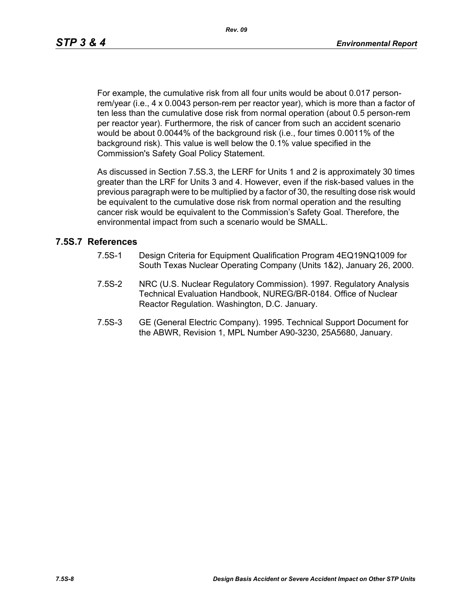For example, the cumulative risk from all four units would be about 0.017 personrem/year (i.e., 4 x 0.0043 person-rem per reactor year), which is more than a factor of ten less than the cumulative dose risk from normal operation (about 0.5 person-rem per reactor year). Furthermore, the risk of cancer from such an accident scenario would be about 0.0044% of the background risk (i.e., four times 0.0011% of the background risk). This value is well below the 0.1% value specified in the Commission's Safety Goal Policy Statement.

As discussed in Section 7.5S.3, the LERF for Units 1 and 2 is approximately 30 times greater than the LRF for Units 3 and 4. However, even if the risk-based values in the previous paragraph were to be multiplied by a factor of 30, the resulting dose risk would be equivalent to the cumulative dose risk from normal operation and the resulting cancer risk would be equivalent to the Commission's Safety Goal. Therefore, the environmental impact from such a scenario would be SMALL.

#### **7.5S.7 References**

- 7.5S-1 Design Criteria for Equipment Qualification Program 4EQ19NQ1009 for South Texas Nuclear Operating Company (Units 1&2), January 26, 2000.
- 7.5S-2 NRC (U.S. Nuclear Regulatory Commission). 1997. Regulatory Analysis Technical Evaluation Handbook, NUREG/BR-0184. Office of Nuclear Reactor Regulation. Washington, D.C. January.
- 7.5S-3 GE (General Electric Company). 1995. Technical Support Document for the ABWR, Revision 1, MPL Number A90-3230, 25A5680, January.